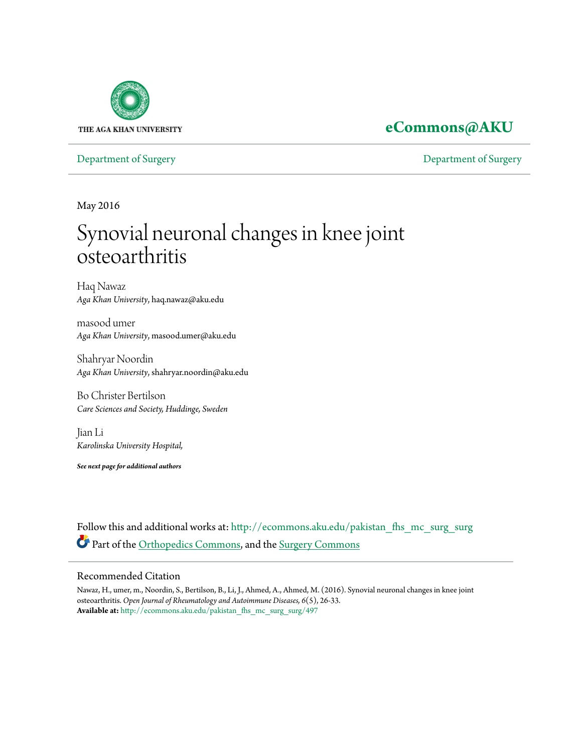

# **[eCommons@AKU](http://ecommons.aku.edu?utm_source=ecommons.aku.edu%2Fpakistan_fhs_mc_surg_surg%2F497&utm_medium=PDF&utm_campaign=PDFCoverPages)**

[Department of Surgery](http://ecommons.aku.edu/pakistan_fhs_mc_surg_surg?utm_source=ecommons.aku.edu%2Fpakistan_fhs_mc_surg_surg%2F497&utm_medium=PDF&utm_campaign=PDFCoverPages) [Department of Surgery](http://ecommons.aku.edu/pakistan_fhs_mc_surg?utm_source=ecommons.aku.edu%2Fpakistan_fhs_mc_surg_surg%2F497&utm_medium=PDF&utm_campaign=PDFCoverPages)

May 2016

# Synovial neuronal changes in knee joint osteoarthritis

Haq Nawaz *Aga Khan University*, haq.nawaz@aku.edu

masood umer *Aga Khan University*, masood.umer@aku.edu

Shahryar Noordin *Aga Khan University*, shahryar.noordin@aku.edu

Bo Christer Bertilson *Care Sciences and Society, Huddinge, Sweden*

Jian Li *Karolinska University Hospital,*

*See next page for additional authors*

Follow this and additional works at: [http://ecommons.aku.edu/pakistan\\_fhs\\_mc\\_surg\\_surg](http://ecommons.aku.edu/pakistan_fhs_mc_surg_surg?utm_source=ecommons.aku.edu%2Fpakistan_fhs_mc_surg_surg%2F497&utm_medium=PDF&utm_campaign=PDFCoverPages) Part of the [Orthopedics Commons](http://network.bepress.com/hgg/discipline/696?utm_source=ecommons.aku.edu%2Fpakistan_fhs_mc_surg_surg%2F497&utm_medium=PDF&utm_campaign=PDFCoverPages), and the [Surgery Commons](http://network.bepress.com/hgg/discipline/706?utm_source=ecommons.aku.edu%2Fpakistan_fhs_mc_surg_surg%2F497&utm_medium=PDF&utm_campaign=PDFCoverPages)

# Recommended Citation

Nawaz, H., umer, m., Noordin, S., Bertilson, B., Li, J., Ahmed, A., Ahmed, M. (2016). Synovial neuronal changes in knee joint osteoarthritis. *Open Journal of Rheumatology and Autoimmune Diseases, 6*(5), 26-33. **Available at:** [http://ecommons.aku.edu/pakistan\\_fhs\\_mc\\_surg\\_surg/497](http://ecommons.aku.edu/pakistan_fhs_mc_surg_surg/497)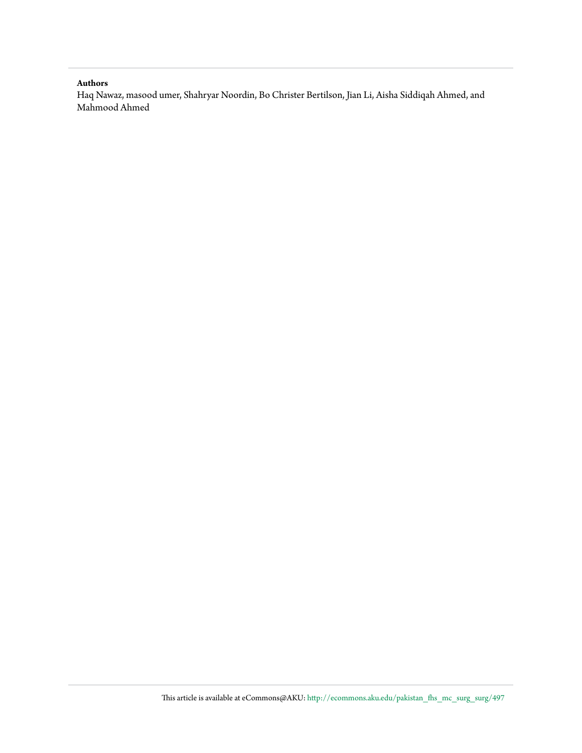#### **Authors**

Haq Nawaz, masood umer, Shahryar Noordin, Bo Christer Bertilson, Jian Li, Aisha Siddiqah Ahmed, and Mahmood Ahmed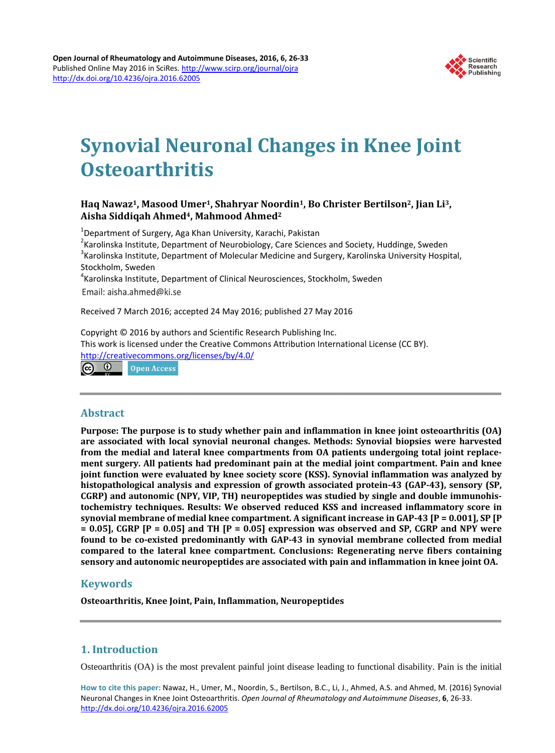

# **Synovial Neuronal Changes in Knee Joint Osteoarthritis**

# **Haq Nawaz1, Masood Umer1, Shahryar Noordin1, Bo Christer Bertilson2, Jian Li3, Aisha Siddiqah Ahmed4, Mahmood Ahmed2**

<sup>1</sup>Department of Surgery, Aga Khan University, Karachi, Pakistan<br><sup>2</sup>Karolinska Institute, Department of Nourobiology, Caro Science

 $k^2$ Karolinska Institute, Department of Neurobiology, Care Sciences and Society, Huddinge, Sweden  $3$ Karolinska Institute, Department of Molecular Medicine and Surgery, Karolinska University Hospital, Stockholm, Sweden

 $^4$ Karolinska Institute, Department of Clinical Neurosciences, Stockholm, Sweden Email: aisha.ahmed@ki.se

Received 7 March 2016; accepted 24 May 2016; published 27 May 2016

Copyright © 2016 by authors and Scientific Research Publishing Inc. This work is licensed under the Creative Commons Attribution International License (CC BY). <http://creativecommons.org/licenses/by/4.0/>

<u>(ര) 0 </u> **Open Access** 

# **Abstract**

**Purpose: The purpose is to study whether pain and inflammation in knee joint osteoarthritis (OA) are associated with local synovial neuronal changes. Methods: Synovial biopsies were harvested from the medial and lateral knee compartments from OA patients undergoing total joint replacement surgery. All patients had predominant pain at the medial joint compartment. Pain and knee joint function were evaluated by knee society score (KSS). Synovial inflammation was analyzed by histopathological analysis and expression of growth associated protein-43 (GAP-43), sensory (SP, CGRP) and autonomic (NPY, VIP, TH) neuropeptides was studied by single and double immunohistochemistry techniques. Results: We observed reduced KSS and increased inflammatory score in synovial membrane of medial knee compartment. A significant increase in GAP-43 [P = 0.001], SP [P = 0.05], CGRP [P = 0.05] and TH [P = 0.05] expression was observed and SP, CGRP and NPY were found to be co-existed predominantly with GAP-43 in synovial membrane collected from medial compared to the lateral knee compartment. Conclusions: Regenerating nerve fibers containing sensory and autonomic neuropeptides are associated with pain and inflammation in knee joint OA.**

# **Keywords**

**Osteoarthritis, Knee Joint, Pain, Inflammation, Neuropeptides**

# **1. Introduction**

Osteoarthritis (OA) is the most prevalent painful joint disease leading to functional disability. Pain is the initial

**How to cite this paper:** Nawaz, H., Umer, M., Noordin, S., Bertilson, B.C., Li, J., Ahmed, A.S. and Ahmed, M. (2016) Synovial Neuronal Changes in Knee Joint Osteoarthritis. *Open Journal of Rheumatology and Autoimmune Diseases*, **6**, 26-33. <http://dx.doi.org/10.4236/ojra.2016.62005>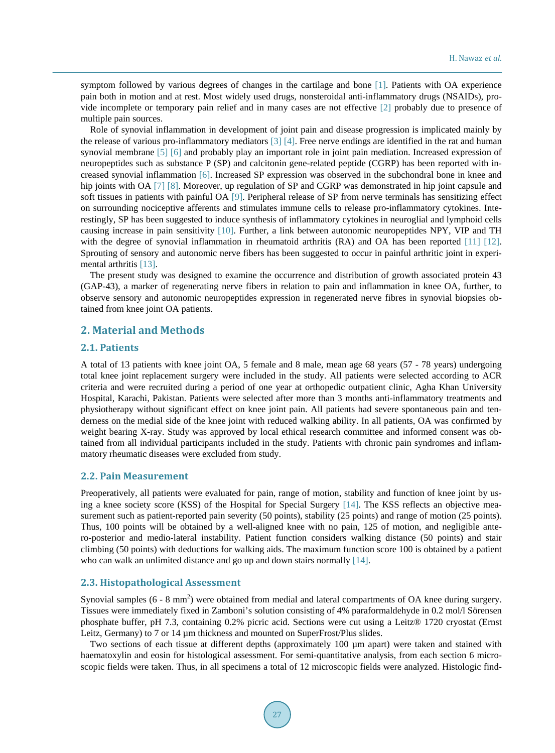symptom followed by various degrees of changes in the cartilage and bone [\[1\].](#page-8-0) Patients with OA experience pain both in motion and at rest. Most widely used drugs, nonsteroidal anti-inflammatory drugs (NSAIDs), provide incomplete or temporary pain relief and in many cases are not effective [\[2\]](#page-8-1) probably due to presence of multiple pain sources.

Role of synovial inflammation in development of joint pain and disease progression is implicated mainly by the release of various pro-inflammatory mediators [\[3\]](#page-8-2) [\[4\].](#page-8-3) Free nerve endings are identified in the rat and human synovial membrane [\[5\]](#page-8-4) [\[6\]](#page-8-5) and probably play an important role in joint pain mediation. Increased expression of neuropeptides such as substance P (SP) and calcitonin gene-related peptide (CGRP) has been reported with increased synovial inflammation [\[6\].](#page-8-5) Increased SP expression was observed in the subchondral bone in knee and hip joints with OA [\[7\]](#page-8-6) [\[8\].](#page-8-7) Moreover, up regulation of SP and CGRP was demonstrated in hip joint capsule and soft tissues in patients with painful OA [\[9\].](#page-8-8) Peripheral release of SP from nerve terminals has sensitizing effect on surrounding nociceptive afferents and stimulates immune cells to release pro-inflammatory cytokines. Interestingly, SP has been suggested to induce synthesis of inflammatory cytokines in neuroglial and lymphoid cells causing increase in pain sensitivity [\[10\].](#page-8-9) Further, a link between autonomic neuropeptides NPY, VIP and TH with the degree of synovial inflammation in rheumatoid arthritis (RA) and OA has been reported [\[11\]](#page-9-0) [\[12\].](#page-9-1) Sprouting of sensory and autonomic nerve fibers has been suggested to occur in painful arthritic joint in experimental arthritis [\[13\].](#page-9-2)

The present study was designed to examine the occurrence and distribution of growth associated protein 43 (GAP-43), a marker of regenerating nerve fibers in relation to pain and inflammation in knee OA, further, to observe sensory and autonomic neuropeptides expression in regenerated nerve fibres in synovial biopsies obtained from knee joint OA patients.

#### **2. Material and Methods**

#### **2.1. Patients**

A total of 13 patients with knee joint OA, 5 female and 8 male, mean age 68 years (57 - 78 years) undergoing total knee joint replacement surgery were included in the study. All patients were selected according to ACR criteria and were recruited during a period of one year at orthopedic outpatient clinic, Agha Khan University Hospital, Karachi, Pakistan. Patients were selected after more than 3 months anti-inflammatory treatments and physiotherapy without significant effect on knee joint pain. All patients had severe spontaneous pain and tenderness on the medial side of the knee joint with reduced walking ability. In all patients, OA was confirmed by weight bearing X-ray. Study was approved by local ethical research committee and informed consent was obtained from all individual participants included in the study. Patients with chronic pain syndromes and inflammatory rheumatic diseases were excluded from study.

#### **2.2. Pain Measurement**

Preoperatively, all patients were evaluated for pain, range of motion, stability and function of knee joint by us-ing a knee society score (KSS) of the Hospital for Special Surgery [\[14\].](#page-9-3) The KSS reflects an objective measurement such as patient-reported pain severity (50 points), stability (25 points) and range of motion (25 points). Thus, 100 points will be obtained by a well-aligned knee with no pain, 125 of motion, and negligible antero-posterior and medio-lateral instability. Patient function considers walking distance (50 points) and stair climbing (50 points) with deductions for walking aids. The maximum function score 100 is obtained by a patient who can walk an unlimited distance and go up and down stairs normally [\[14\].](#page-9-3)

#### **2.3. Histopathological Assessment**

Synovial samples  $(6 - 8 \text{ mm}^2)$  were obtained from medial and lateral compartments of OA knee during surgery. Tissues were immediately fixed in Zamboni's solution consisting of 4% paraformaldehyde in 0.2 mol/l Sörensen phosphate buffer, pH 7.3, containing 0.2% picric acid. Sections were cut using a Leitz® 1720 cryostat (Ernst Leitz, Germany) to 7 or 14  $\mu$ m thickness and mounted on SuperFrost/Plus slides.

Two sections of each tissue at different depths (approximately 100 µm apart) were taken and stained with haematoxylin and eosin for histological assessment. For semi-quantitative analysis, from each section 6 microscopic fields were taken. Thus, in all specimens a total of 12 microscopic fields were analyzed. Histologic find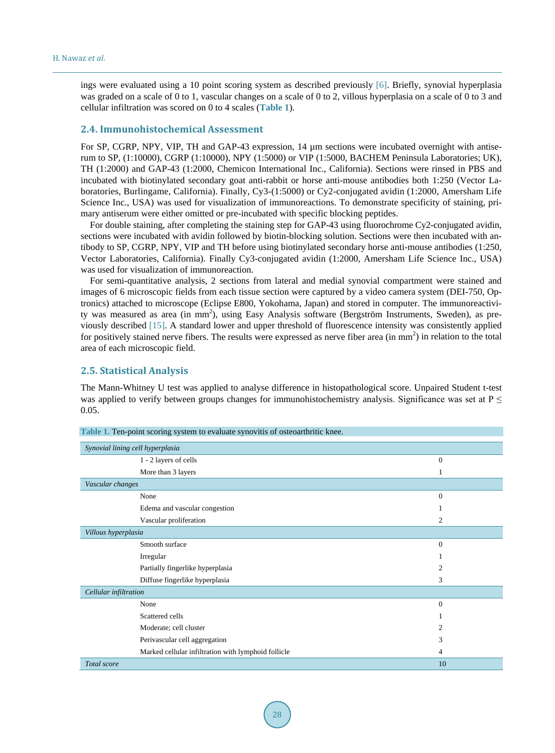ings were evaluated using a 10 point scoring system as described previously [\[6\].](#page-8-5) Briefly, synovial hyperplasia was graded on a scale of 0 to 1, vascular changes on a scale of 0 to 2, villous hyperplasia on a scale of 0 to 3 and cellular infiltration was scored on 0 to 4 scales (**[Table 1](#page-4-0)**).

#### **2.4. Immunohistochemical Assessment**

For SP, CGRP, NPY, VIP, TH and GAP-43 expression, 14  $\mu$ m sections were incubated overnight with antiserum to SP, (1:10000), CGRP (1:10000), NPY (1:5000) or VIP (1:5000, BACHEM Peninsula Laboratories; UK), TH (1:2000) and GAP-43 (1:2000, Chemicon International Inc., California). Sections were rinsed in PBS and incubated with biotinylated secondary goat anti-rabbit or horse anti-mouse antibodies both 1:250 (Vector Laboratories, Burlingame, California). Finally, Cy3-(1:5000) or Cy2-conjugated avidin (1:2000, Amersham Life Science Inc., USA) was used for visualization of immunoreactions. To demonstrate specificity of staining, primary antiserum were either omitted or pre-incubated with specific blocking peptides.

For double staining, after completing the staining step for GAP-43 using fluorochrome Cy2-conjugated avidin, sections were incubated with avidin followed by biotin-blocking solution. Sections were then incubated with antibody to SP, CGRP, NPY, VIP and TH before using biotinylated secondary horse anti-mouse antibodies (1:250, Vector Laboratories, California). Finally Cy3-conjugated avidin (1:2000, Amersham Life Science Inc., USA) was used for visualization of immunoreaction.

For semi-quantitative analysis, 2 sections from lateral and medial synovial compartment were stained and images of 6 microscopic fields from each tissue section were captured by a video camera system (DEI-750, Optronics) attached to microscope (Eclipse E800, Yokohama, Japan) and stored in computer. The immunoreactivity was measured as area (in mm<sup>2</sup>), using Easy Analysis software (Bergström Instruments, Sweden), as previously described [\[15\].](#page-9-4) A standard lower and upper threshold of fluorescence intensity was consistently applied for positively stained nerve fibers. The results were expressed as nerve fiber area (in mm<sup>2</sup>) in relation to the total area of each microscopic field.

#### **2.5. Statistical Analysis**

The Mann-Whitney U test was applied to analyse difference in histopathological score. Unpaired Student t-test was applied to verify between groups changes for immunohistochemistry analysis. Significance was set at  $P \leq$ 0.05.

<span id="page-4-0"></span>

| <b>Table 1. Ten-point scoring system to evaluate synovitis of osteoarthritic knee.</b> |              |  |
|----------------------------------------------------------------------------------------|--------------|--|
| Synovial lining cell hyperplasia                                                       |              |  |
| 1 - 2 layers of cells                                                                  | $\mathbf{0}$ |  |
| More than 3 layers                                                                     |              |  |
| Vascular changes                                                                       |              |  |
| None                                                                                   | $\Omega$     |  |
| Edema and vascular congestion                                                          |              |  |
| Vascular proliferation                                                                 | 2            |  |
| Villous hyperplasia                                                                    |              |  |
| Smooth surface                                                                         | $\mathbf{0}$ |  |
| Irregular                                                                              |              |  |
| Partially fingerlike hyperplasia                                                       | 2            |  |
| Diffuse fingerlike hyperplasia                                                         | 3            |  |
| Cellular infiltration                                                                  |              |  |
| None                                                                                   | $\Omega$     |  |
| Scattered cells                                                                        |              |  |
| Moderate; cell cluster                                                                 | 2            |  |
| Perivascular cell aggregation                                                          | 3            |  |
| Marked cellular infiltration with lymphoid follicle                                    | 4            |  |
| Total score                                                                            | 10           |  |

**Table 1.** Ten-point scoring system to evaluate synovitis of osteoarthritic knee.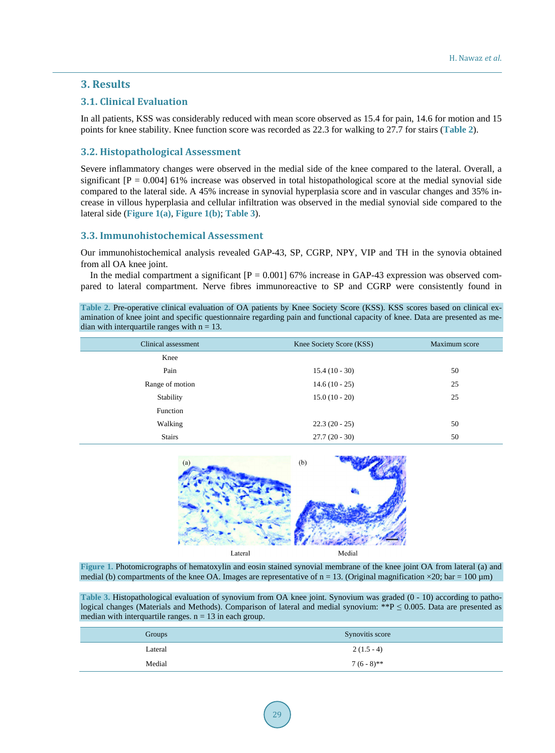# **3. Results**

#### **3.1. Clinical Evaluation**

In all patients, KSS was considerably reduced with mean score observed as 15.4 for pain, 14.6 for motion and 15 points for knee stability. Knee function score was recorded as 22.3 for walking to 27.7 for stairs (**[Table 2](#page-5-0)**).

#### **3.2. Histopathological Assessment**

Severe inflammatory changes were observed in the medial side of the knee compared to the lateral. Overall, a significant  $[P = 0.004]$  61% increase was observed in total histopathological score at the medial synovial side compared to the lateral side. A 45% increase in synovial hyperplasia score and in vascular changes and 35% increase in villous hyperplasia and cellular infiltration was observed in the medial synovial side compared to the lateral side (**[Figure](#page-5-1) 1(a)**, **[Figure](#page-5-1) 1(b)**; **[Table 3](#page-5-2)**).

#### **3.3. Immunohistochemical Assessment**

Our immunohistochemical analysis revealed GAP-43, SP, CGRP, NPY, VIP and TH in the synovia obtained from all OA knee joint.

In the medial compartment a significant  $[P = 0.001]$  67% increase in GAP-43 expression was observed compared to lateral compartment. Nerve fibres immunoreactive to SP and CGRP were consistently found in

<span id="page-5-0"></span>**Table 2.** Pre-operative clinical evaluation of OA patients by Knee Society Score (KSS). KSS scores based on clinical examination of knee joint and specific questionnaire regarding pain and functional capacity of knee. Data are presented as median with interquartile ranges with  $n = 13$ .

| Clinical assessment | Knee Society Score (KSS) | Maximum score |
|---------------------|--------------------------|---------------|
| Knee                |                          |               |
| Pain                | $15.4(10-30)$            | 50            |
| Range of motion     | $14.6(10-25)$            | 25            |
| Stability           | $15.0(10-20)$            | 25            |
| Function            |                          |               |
| Walking             | $22.3(20-25)$            | 50            |
| <b>Stairs</b>       | $27.7(20 - 30)$          | 50            |



<span id="page-5-1"></span>**Figure 1.** Photomicrographs of hematoxylin and eosin stained synovial membrane of the knee joint OA from lateral (a) and medial (b) compartments of the knee OA. Images are representative of  $n = 13$ . (Original magnification  $\times 20$ ; bar = 100 µm)

<span id="page-5-2"></span>**Table 3.** Histopathological evaluation of synovium from OA knee joint. Synovium was graded (0 - 10) according to pathological changes (Materials and Methods). Comparison of lateral and medial synovium: \*\*P  $\leq$  0.005. Data are presented as median with interquartile ranges.  $n = 13$  in each group.

| Groups  | Synovitis score |
|---------|-----------------|
| Lateral | $2(1.5-4)$      |
| Medial  | $7(6-8)$ **     |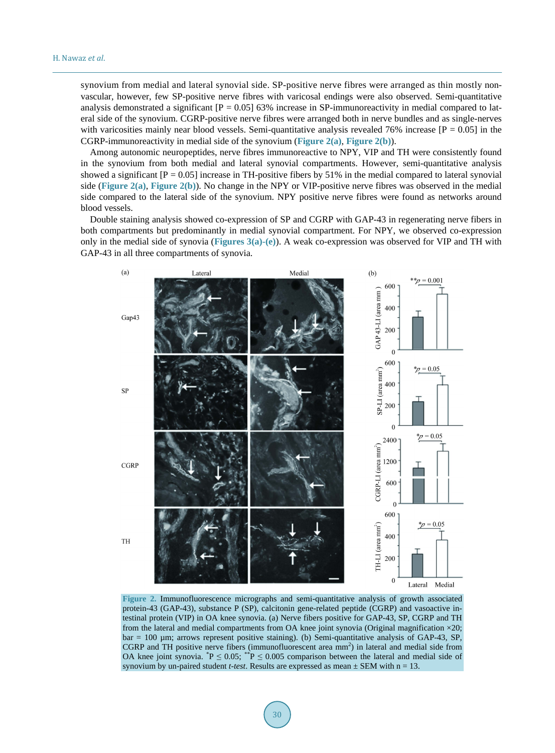synovium from medial and lateral synovial side. SP-positive nerve fibres were arranged as thin mostly nonvascular, however, few SP-positive nerve fibres with varicosal endings were also observed. Semi-quantitative analysis demonstrated a significant  $[P = 0.05]$  63% increase in SP-immunoreactivity in medial compared to lateral side of the synovium. CGRP-positive nerve fibres were arranged both in nerve bundles and as single-nerves with varicosities mainly near blood vessels. Semi-quantitative analysis revealed 76% increase  $[P = 0.05]$  in the CGRP-immunoreactivity in medial side of the synovium (**[Figure](#page-6-0) 2(a)**, **[Figure](#page-6-0) 2(b)**).

Among autonomic neuropeptides, nerve fibres immunoreactive to NPY, VIP and TH were consistently found in the synovium from both medial and lateral synovial compartments. However, semi-quantitative analysis showed a significant  $[P = 0.05]$  increase in TH-positive fibers by 51% in the medial compared to lateral synovial side (**[Figure](#page-6-0) 2(a)**, **[Figure](#page-6-0) 2(b)**). No change in the NPY or VIP-positive nerve fibres was observed in the medial side compared to the lateral side of the synovium. NPY positive nerve fibres were found as networks around blood vessels.

Double staining analysis showed co-expression of SP and CGRP with GAP-43 in regenerating nerve fibers in both compartments but predominantly in medial synovial compartment. For NPY, we observed co-expression only in the medial side of synovia (**[Figures](#page-7-0) 3(a)-(e)**). A weak co-expression was observed for VIP and TH with GAP-43 in all three compartments of synovia.

<span id="page-6-0"></span>

**Figure 2.** Immunofluorescence micrographs and semi-quantitative analysis of growth associated protein-43 (GAP-43), substance P (SP), calcitonin gene-related peptide (CGRP) and vasoactive intestinal protein (VIP) in OA knee synovia. (a) Nerve fibers positive for GAP-43, SP, CGRP and TH from the lateral and medial compartments from OA knee joint synovia (Original magnification  $\times 20$ ; bar = 100 µm; arrows represent positive staining). (b) Semi-quantitative analysis of GAP-43, SP, CGRP and TH positive nerve fibers (immunofluorescent area  $mm<sup>2</sup>$ ) in lateral and medial side from OA knee joint synovia.  ${}^*P \leq 0.05$ ;  ${}^{**}P \leq 0.005$  comparison between the lateral and medial side of synovium by un-paired student *t-test*. Results are expressed as mean  $\pm$  SEM with  $n = 13$ .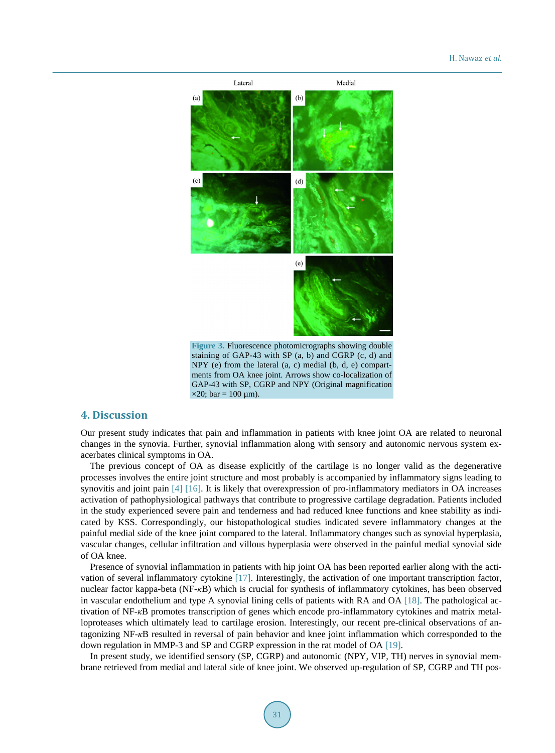#### H. Nawaz *et al*.

<span id="page-7-0"></span>

staining of GAP-43 with SP (a, b) and CGRP (c, d) and NPY (e) from the lateral (a, c) medial (b, d, e) compartments from OA knee joint. Arrows show co-localization of GAP-43 with SP, CGRP and NPY (Original magnification  $\times$ 20; bar = 100 µm).

# **4. Discussion**

Our present study indicates that pain and inflammation in patients with knee joint OA are related to neuronal changes in the synovia. Further, synovial inflammation along with sensory and autonomic nervous system exacerbates clinical symptoms in OA.

The previous concept of OA as disease explicitly of the cartilage is no longer valid as the degenerative processes involves the entire joint structure and most probably is accompanied by inflammatory signs leading to synovitis and joint pain [\[4\]](#page-8-3) [\[16\].](#page-9-5) It is likely that overexpression of pro-inflammatory mediators in OA increases activation of pathophysiological pathways that contribute to progressive cartilage degradation. Patients included in the study experienced severe pain and tenderness and had reduced knee functions and knee stability as indicated by KSS. Correspondingly, our histopathological studies indicated severe inflammatory changes at the painful medial side of the knee joint compared to the lateral. Inflammatory changes such as synovial hyperplasia, vascular changes, cellular infiltration and villous hyperplasia were observed in the painful medial synovial side of OA knee.

Presence of synovial inflammation in patients with hip joint OA has been reported earlier along with the activation of several inflammatory cytokine [\[17\].](#page-9-6) Interestingly, the activation of one important transcription factor, nuclear factor kappa-beta (NF-*κ*B) which is crucial for synthesis of inflammatory cytokines, has been observed in vascular endothelium and type A synovial lining cells of patients with RA and OA [\[18\].](#page-9-7) The pathological activation of NF-*κ*B promotes transcription of genes which encode pro-inflammatory cytokines and matrix metalloproteases which ultimately lead to cartilage erosion. Interestingly, our recent pre-clinical observations of antagonizing NF-*κ*B resulted in reversal of pain behavior and knee joint inflammation which corresponded to the down regulation in MMP-3 and SP and CGRP expression in the rat model of OA [\[19\].](#page-9-8)

In present study, we identified sensory (SP, CGRP) and autonomic (NPY, VIP, TH) nerves in synovial membrane retrieved from medial and lateral side of knee joint. We observed up-regulation of SP, CGRP and TH pos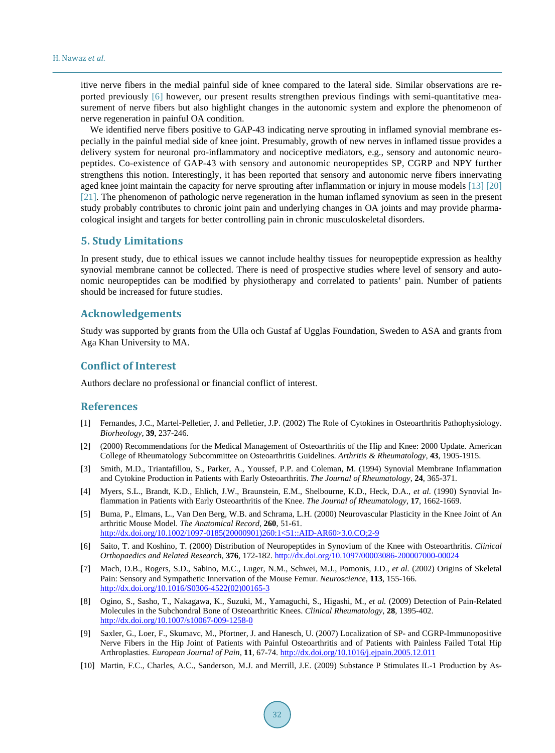itive nerve fibers in the medial painful side of knee compared to the lateral side. Similar observations are reported previously [\[6\]](#page-8-5) however, our present results strengthen previous findings with semi-quantitative measurement of nerve fibers but also highlight changes in the autonomic system and explore the phenomenon of nerve regeneration in painful OA condition.

We identified nerve fibers positive to GAP-43 indicating nerve sprouting in inflamed synovial membrane especially in the painful medial side of knee joint. Presumably, growth of new nerves in inflamed tissue provides a delivery system for neuronal pro-inflammatory and nociceptive mediators, e.g., sensory and autonomic neuropeptides. Co-existence of GAP-43 with sensory and autonomic neuropeptides SP, CGRP and NPY further strengthens this notion. Interestingly, it has been reported that sensory and autonomic nerve fibers innervating aged knee joint maintain the capacity for nerve sprouting after inflammation or injury in mouse models [\[13\]](#page-9-2) [\[20\]](#page-9-9) [\[21\].](#page-9-10) The phenomenon of pathologic nerve regeneration in the human inflamed synovium as seen in the present study probably contributes to chronic joint pain and underlying changes in OA joints and may provide pharmacological insight and targets for better controlling pain in chronic musculoskeletal disorders.

#### **5. Study Limitations**

In present study, due to ethical issues we cannot include healthy tissues for neuropeptide expression as healthy synovial membrane cannot be collected. There is need of prospective studies where level of sensory and autonomic neuropeptides can be modified by physiotherapy and correlated to patients' pain. Number of patients should be increased for future studies.

### **Acknowledgements**

Study was supported by grants from the Ulla och Gustaf af Ugglas Foundation, Sweden to ASA and grants from Aga Khan University to MA.

#### **Conflict of Interest**

Authors declare no professional or financial conflict of interest.

#### **References**

- <span id="page-8-0"></span>[1] Fernandes, J.C., Martel-Pelletier, J. and Pelletier, J.P. (2002) The Role of Cytokines in Osteoarthritis Pathophysiology. *Biorheology*, **39**, 237-246.
- <span id="page-8-1"></span>[2] (2000) Recommendations for the Medical Management of Osteoarthritis of the Hip and Knee: 2000 Update. American College of Rheumatology Subcommittee on Osteoarthritis Guidelines. *Arthritis & Rheumatology*, **43**, 1905-1915.
- <span id="page-8-2"></span>[3] Smith, M.D., Triantafillou, S., Parker, A., Youssef, P.P. and Coleman, M. (1994) Synovial Membrane Inflammation and Cytokine Production in Patients with Early Osteoarthritis. *The Journal of Rheumatology*, **24**, 365-371.
- <span id="page-8-3"></span>[4] Myers, S.L., Brandt, K.D., Ehlich, J.W., Braunstein, E.M., Shelbourne, K.D., Heck, D.A., *et al.* (1990) Synovial Inflammation in Patients with Early Osteoarthritis of the Knee. *The Journal of Rheumatology*, **17**, 1662-1669.
- <span id="page-8-4"></span>[5] Buma, P., Elmans, L., Van Den Berg, W.B. and Schrama, L.H. (2000) Neurovascular Plasticity in the Knee Joint of An arthritic Mouse Model. *The Anatomical Record*, **260**, 51-61. [http://dx.doi.org/10.1002/1097-0185\(20000901\)260:1<51::AID-AR60>3.0.CO;2-9](http://dx.doi.org/10.1002/1097-0185(20000901)260:1%3C51::AID-AR60%3E3.0.CO;2-9)
- <span id="page-8-5"></span>[6] Saito, T. and Koshino, T. (2000) Distribution of Neuropeptides in Synovium of the Knee with Osteoarthritis. *Clinical Orthopaedics and Related Research*, **376**, 172-182.<http://dx.doi.org/10.1097/00003086-200007000-00024>
- <span id="page-8-6"></span>[7] Mach, D.B., Rogers, S.D., Sabino, M.C., Luger, N.M., Schwei, M.J., Pomonis, J.D., *et al.* (2002) Origins of Skeletal Pain: Sensory and Sympathetic Innervation of the Mouse Femur. *Neuroscience*, **113**, 155-166. [http://dx.doi.org/10.1016/S0306-4522\(02\)00165-3](http://dx.doi.org/10.1016/S0306-4522(02)00165-3)
- <span id="page-8-7"></span>[8] Ogino, S., Sasho, T., Nakagawa, K., Suzuki, M., Yamaguchi, S., Higashi, M., *et al.* (2009) Detection of Pain-Related Molecules in the Subchondral Bone of Osteoarthritic Knees. *Clinical Rheumatology*, **28**, 1395-402. <http://dx.doi.org/10.1007/s10067-009-1258-0>
- <span id="page-8-8"></span>[9] Saxler, G., Loer, F., Skumavc, M., Pfortner, J. and Hanesch, U. (2007) Localization of SP- and CGRP-Immunopositive Nerve Fibers in the Hip Joint of Patients with Painful Osteoarthritis and of Patients with Painless Failed Total Hip Arthroplasties. *European Journal of Pain*, **11**, 67-74.<http://dx.doi.org/10.1016/j.ejpain.2005.12.011>
- <span id="page-8-9"></span>[10] Martin, F.C., Charles, A.C., Sanderson, M.J. and Merrill, J.E. (2009) Substance P Stimulates IL-1 Production by As-